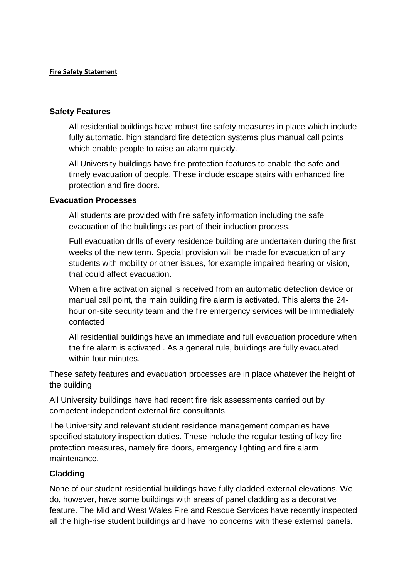## **Fire Safety Statement**

## **Safety Features**

All residential buildings have robust fire safety measures in place which include fully automatic, high standard fire detection systems plus manual call points which enable people to raise an alarm quickly.

All University buildings have fire protection features to enable the safe and timely evacuation of people. These include escape stairs with enhanced fire protection and fire doors.

## **Evacuation Processes**

All students are provided with fire safety information including the safe evacuation of the buildings as part of their induction process.

Full evacuation drills of every residence building are undertaken during the first weeks of the new term. Special provision will be made for evacuation of any students with mobility or other issues, for example impaired hearing or vision, that could affect evacuation.

When a fire activation signal is received from an automatic detection device or manual call point, the main building fire alarm is activated. This alerts the 24 hour on-site security team and the fire emergency services will be immediately contacted

All residential buildings have an immediate and full evacuation procedure when the fire alarm is activated . As a general rule, buildings are fully evacuated within four minutes

These safety features and evacuation processes are in place whatever the height of the building

All University buildings have had recent fire risk assessments carried out by competent independent external fire consultants.

The University and relevant student residence management companies have specified statutory inspection duties. These include the regular testing of key fire protection measures, namely fire doors, emergency lighting and fire alarm maintenance.

## **Cladding**

None of our student residential buildings have fully cladded external elevations. We do, however, have some buildings with areas of panel cladding as a decorative feature. The Mid and West Wales Fire and Rescue Services have recently inspected all the high-rise student buildings and have no concerns with these external panels.